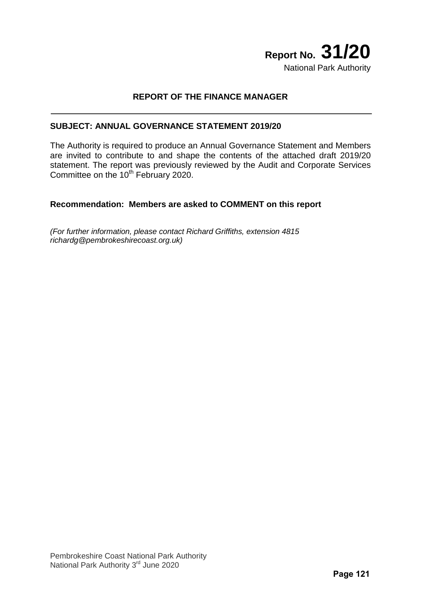# **Report No. 31/20** National Park Authority

## **REPORT OF THE FINANCE MANAGER**

#### **SUBJECT: ANNUAL GOVERNANCE STATEMENT 2019/20**

The Authority is required to produce an Annual Governance Statement and Members are invited to contribute to and shape the contents of the attached draft 2019/20 statement. The report was previously reviewed by the Audit and Corporate Services Committee on the 10<sup>th</sup> February 2020.

#### **Recommendation: Members are asked to COMMENT on this report**

*(For further information, please contact Richard Griffiths, extension 4815 richardg@pembrokeshirecoast.org.uk)*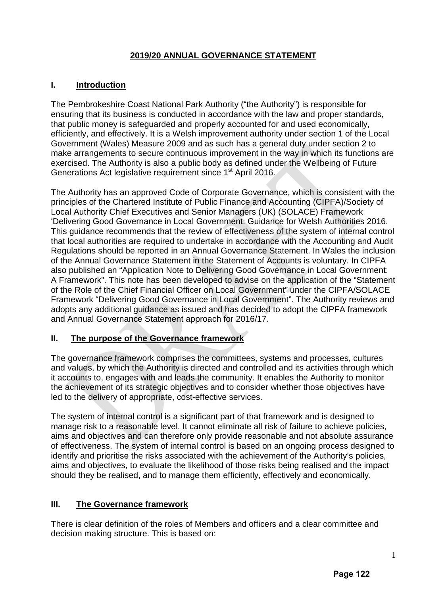# **2019/20 ANNUAL GOVERNANCE STATEMENT**

## **I. Introduction**

The Pembrokeshire Coast National Park Authority ("the Authority") is responsible for ensuring that its business is conducted in accordance with the law and proper standards, that public money is safeguarded and properly accounted for and used economically, efficiently, and effectively. It is a Welsh improvement authority under section 1 of the Local Government (Wales) Measure 2009 and as such has a general duty under section 2 to make arrangements to secure continuous improvement in the way in which its functions are exercised. The Authority is also a public body as defined under the Wellbeing of Future Generations Act legislative requirement since 1<sup>st</sup> April 2016.

The Authority has an approved Code of Corporate Governance, which is consistent with the principles of the Chartered Institute of Public Finance and Accounting (CIPFA)/Society of Local Authority Chief Executives and Senior Managers (UK) (SOLACE) Framework 'Delivering Good Governance in Local Government: Guidance for Welsh Authorities 2016. This guidance recommends that the review of effectiveness of the system of internal control that local authorities are required to undertake in accordance with the Accounting and Audit Regulations should be reported in an Annual Governance Statement. In Wales the inclusion of the Annual Governance Statement in the Statement of Accounts is voluntary. In CIPFA also published an "Application Note to Delivering Good Governance in Local Government: A Framework". This note has been developed to advise on the application of the "Statement of the Role of the Chief Financial Officer on Local Government" under the CIPFA/SOLACE Framework "Delivering Good Governance in Local Government". The Authority reviews and adopts any additional guidance as issued and has decided to adopt the CIPFA framework and Annual Governance Statement approach for 2016/17.

## **II. The purpose of the Governance framework**

The governance framework comprises the committees, systems and processes, cultures and values, by which the Authority is directed and controlled and its activities through which it accounts to, engages with and leads the community. It enables the Authority to monitor the achievement of its strategic objectives and to consider whether those objectives have led to the delivery of appropriate, cost-effective services.

The system of internal control is a significant part of that framework and is designed to manage risk to a reasonable level. It cannot eliminate all risk of failure to achieve policies, aims and objectives and can therefore only provide reasonable and not absolute assurance of effectiveness. The system of internal control is based on an ongoing process designed to identify and prioritise the risks associated with the achievement of the Authority's policies, aims and objectives, to evaluate the likelihood of those risks being realised and the impact should they be realised, and to manage them efficiently, effectively and economically.

## **III. The Governance framework**

There is clear definition of the roles of Members and officers and a clear committee and decision making structure. This is based on: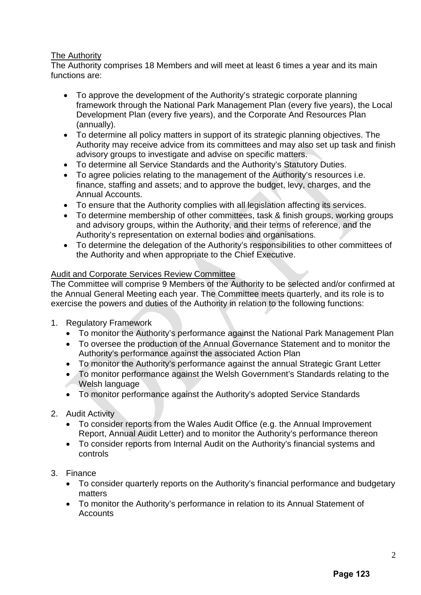## The Authority

The Authority comprises 18 Members and will meet at least 6 times a year and its main functions are:

- To approve the development of the Authority's strategic corporate planning framework through the National Park Management Plan (every five years), the Local Development Plan (every five years), and the Corporate And Resources Plan (annually).
- To determine all policy matters in support of its strategic planning objectives. The Authority may receive advice from its committees and may also set up task and finish advisory groups to investigate and advise on specific matters.
- To determine all Service Standards and the Authority's Statutory Duties.
- To agree policies relating to the management of the Authority's resources i.e. finance, staffing and assets; and to approve the budget, levy, charges, and the Annual Accounts.
- To ensure that the Authority complies with all legislation affecting its services.
- To determine membership of other committees, task & finish groups, working groups and advisory groups, within the Authority, and their terms of reference, and the Authority's representation on external bodies and organisations.
- To determine the delegation of the Authority's responsibilities to other committees of the Authority and when appropriate to the Chief Executive.

## Audit and Corporate Services Review Committee

The Committee will comprise 9 Members of the Authority to be selected and/or confirmed at the Annual General Meeting each year. The Committee meets quarterly, and its role is to exercise the powers and duties of the Authority in relation to the following functions:

- 1. Regulatory Framework
	- To monitor the Authority's performance against the National Park Management Plan
	- To oversee the production of the Annual Governance Statement and to monitor the Authority's performance against the associated Action Plan
	- To monitor the Authority's performance against the annual Strategic Grant Letter
	- To monitor performance against the Welsh Government's Standards relating to the Welsh language
	- To monitor performance against the Authority's adopted Service Standards
- 2. Audit Activity
	- To consider reports from the Wales Audit Office (e.g. the Annual Improvement Report, Annual Audit Letter) and to monitor the Authority's performance thereon
	- To consider reports from Internal Audit on the Authority's financial systems and controls
- 3. Finance
	- To consider quarterly reports on the Authority's financial performance and budgetary matters
	- To monitor the Authority's performance in relation to its Annual Statement of **Accounts**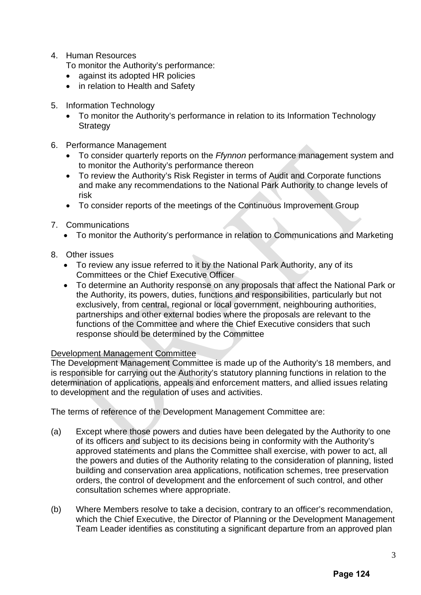4. Human Resources

To monitor the Authority's performance:

- against its adopted HR policies
- in relation to Health and Safety
- 5. Information Technology
	- To monitor the Authority's performance in relation to its Information Technology **Strategy**
- 6. Performance Management
	- To consider quarterly reports on the *Ffynnon* performance management system and to monitor the Authority's performance thereon
	- To review the Authority's Risk Register in terms of Audit and Corporate functions and make any recommendations to the National Park Authority to change levels of risk
	- To consider reports of the meetings of the Continuous Improvement Group
- 7. Communications
	- To monitor the Authority's performance in relation to Communications and Marketing
- 8. Other issues
	- To review any issue referred to it by the National Park Authority, any of its Committees or the Chief Executive Officer
	- To determine an Authority response on any proposals that affect the National Park or the Authority, its powers, duties, functions and responsibilities, particularly but not exclusively, from central, regional or local government, neighbouring authorities, partnerships and other external bodies where the proposals are relevant to the functions of the Committee and where the Chief Executive considers that such response should be determined by the Committee

#### Development Management Committee

The Development Management Committee is made up of the Authority's 18 members, and is responsible for carrying out the Authority's statutory planning functions in relation to the determination of applications, appeals and enforcement matters, and allied issues relating to development and the regulation of uses and activities.

The terms of reference of the Development Management Committee are:

- (a) Except where those powers and duties have been delegated by the Authority to one of its officers and subject to its decisions being in conformity with the Authority's approved statements and plans the Committee shall exercise, with power to act, all the powers and duties of the Authority relating to the consideration of planning, listed building and conservation area applications, notification schemes, tree preservation orders, the control of development and the enforcement of such control, and other consultation schemes where appropriate.
- (b) Where Members resolve to take a decision, contrary to an officer's recommendation, which the Chief Executive, the Director of Planning or the Development Management Team Leader identifies as constituting a significant departure from an approved plan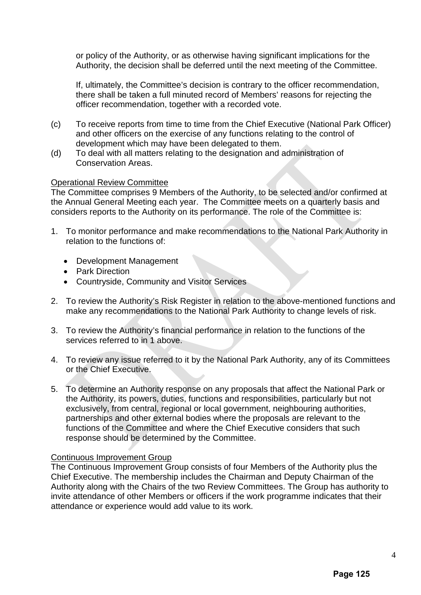or policy of the Authority, or as otherwise having significant implications for the Authority, the decision shall be deferred until the next meeting of the Committee.

If, ultimately, the Committee's decision is contrary to the officer recommendation, there shall be taken a full minuted record of Members' reasons for rejecting the officer recommendation, together with a recorded vote.

- (c) To receive reports from time to time from the Chief Executive (National Park Officer) and other officers on the exercise of any functions relating to the control of development which may have been delegated to them.
- (d) To deal with all matters relating to the designation and administration of Conservation Areas.

#### Operational Review Committee

The Committee comprises 9 Members of the Authority, to be selected and/or confirmed at the Annual General Meeting each year. The Committee meets on a quarterly basis and considers reports to the Authority on its performance. The role of the Committee is:

- 1. To monitor performance and make recommendations to the National Park Authority in relation to the functions of:
	- Development Management
	- Park Direction
	- Countryside, Community and Visitor Services
- 2. To review the Authority's Risk Register in relation to the above-mentioned functions and make any recommendations to the National Park Authority to change levels of risk.
- 3. To review the Authority's financial performance in relation to the functions of the services referred to in 1 above.
- 4. To review any issue referred to it by the National Park Authority, any of its Committees or the Chief Executive.
- 5. To determine an Authority response on any proposals that affect the National Park or the Authority, its powers, duties, functions and responsibilities, particularly but not exclusively, from central, regional or local government, neighbouring authorities, partnerships and other external bodies where the proposals are relevant to the functions of the Committee and where the Chief Executive considers that such response should be determined by the Committee.

#### Continuous Improvement Group

The Continuous Improvement Group consists of four Members of the Authority plus the Chief Executive. The membership includes the Chairman and Deputy Chairman of the Authority along with the Chairs of the two Review Committees. The Group has authority to invite attendance of other Members or officers if the work programme indicates that their attendance or experience would add value to its work.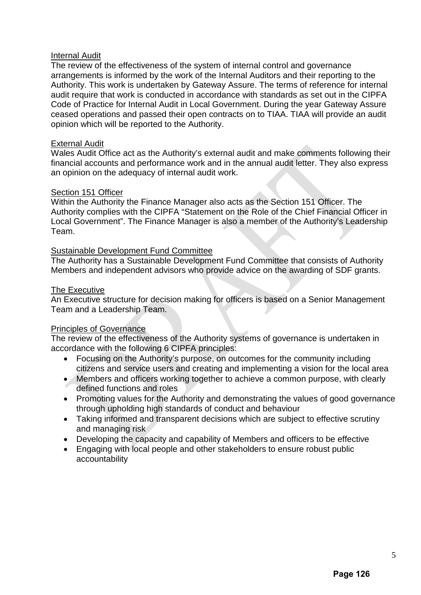#### Internal Audit

The review of the effectiveness of the system of internal control and governance arrangements is informed by the work of the Internal Auditors and their reporting to the Authority. This work is undertaken by Gateway Assure. The terms of reference for internal audit require that work is conducted in accordance with standards as set out in the CIPFA Code of Practice for Internal Audit in Local Government. During the year Gateway Assure ceased operations and passed their open contracts on to TIAA. TIAA will provide an audit opinion which will be reported to the Authority.

#### External Audit

Wales Audit Office act as the Authority's external audit and make comments following their financial accounts and performance work and in the annual audit letter. They also express an opinion on the adequacy of internal audit work.

#### Section 151 Officer

Within the Authority the Finance Manager also acts as the Section 151 Officer. The Authority complies with the CIPFA "Statement on the Role of the Chief Financial Officer in Local Government". The Finance Manager is also a member of the Authority's Leadership Team.

#### Sustainable Development Fund Committee

The Authority has a Sustainable Development Fund Committee that consists of Authority Members and independent advisors who provide advice on the awarding of SDF grants.

#### The Executive

An Executive structure for decision making for officers is based on a Senior Management Team and a Leadership Team.

#### Principles of Governance

The review of the effectiveness of the Authority systems of governance is undertaken in accordance with the following 6 CIPFA principles:

- Focusing on the Authority's purpose, on outcomes for the community including citizens and service users and creating and implementing a vision for the local area
- Members and officers working together to achieve a common purpose, with clearly defined functions and roles
- Promoting values for the Authority and demonstrating the values of good governance through upholding high standards of conduct and behaviour
- Taking informed and transparent decisions which are subject to effective scrutiny and managing risk
- Developing the capacity and capability of Members and officers to be effective
- Engaging with local people and other stakeholders to ensure robust public accountability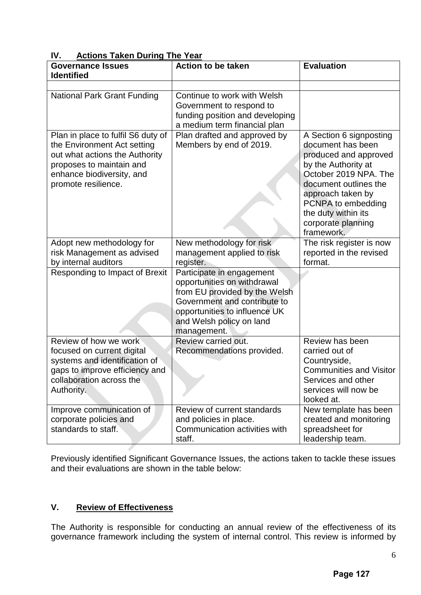| IV.<br>Actions Taken During The Tear                                                                                                                                                |                                                                                                                                                                                                       |                                                                                                                                                                                                                                                      |
|-------------------------------------------------------------------------------------------------------------------------------------------------------------------------------------|-------------------------------------------------------------------------------------------------------------------------------------------------------------------------------------------------------|------------------------------------------------------------------------------------------------------------------------------------------------------------------------------------------------------------------------------------------------------|
| <b>Governance Issues</b><br><b>Identified</b>                                                                                                                                       | <b>Action to be taken</b>                                                                                                                                                                             | <b>Evaluation</b>                                                                                                                                                                                                                                    |
|                                                                                                                                                                                     |                                                                                                                                                                                                       |                                                                                                                                                                                                                                                      |
| <b>National Park Grant Funding</b>                                                                                                                                                  | Continue to work with Welsh<br>Government to respond to<br>funding position and developing<br>a medium term financial plan                                                                            |                                                                                                                                                                                                                                                      |
| Plan in place to fulfil S6 duty of<br>the Environment Act setting<br>out what actions the Authority<br>proposes to maintain and<br>enhance biodiversity, and<br>promote resilience. | Plan drafted and approved by<br>Members by end of 2019.                                                                                                                                               | A Section 6 signposting<br>document has been<br>produced and approved<br>by the Authority at<br>October 2019 NPA. The<br>document outlines the<br>approach taken by<br>PCNPA to embedding<br>the duty within its<br>corporate planning<br>framework. |
| Adopt new methodology for<br>risk Management as advised<br>by internal auditors                                                                                                     | New methodology for risk<br>management applied to risk<br>register.                                                                                                                                   | The risk register is now<br>reported in the revised<br>format.                                                                                                                                                                                       |
| Responding to Impact of Brexit                                                                                                                                                      | Participate in engagement<br>opportunities on withdrawal<br>from EU provided by the Welsh<br>Government and contribute to<br>opportunities to influence UK<br>and Welsh policy on land<br>management. |                                                                                                                                                                                                                                                      |
| Review of how we work<br>focused on current digital<br>systems and identification of<br>gaps to improve efficiency and<br>collaboration across the<br>Authority.                    | Review carried out.<br>Recommendations provided.                                                                                                                                                      | Review has been<br>carried out of<br>Countryside,<br><b>Communities and Visitor</b><br>Services and other<br>services will now be<br>looked at.                                                                                                      |
| Improve communication of<br>corporate policies and<br>standards to staff.                                                                                                           | Review of current standards<br>and policies in place.<br>Communication activities with<br>staff.                                                                                                      | New template has been<br>created and monitoring<br>spreadsheet for<br>leadership team.                                                                                                                                                               |

# **IV. Actions Taken During The Year**

Previously identified Significant Governance Issues, the actions taken to tackle these issues and their evaluations are shown in the table below:

# **V. Review of Effectiveness**

The Authority is responsible for conducting an annual review of the effectiveness of its governance framework including the system of internal control. This review is informed by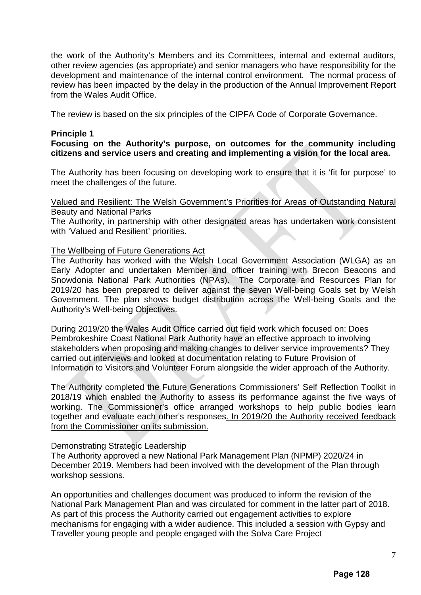the work of the Authority's Members and its Committees, internal and external auditors, other review agencies (as appropriate) and senior managers who have responsibility for the development and maintenance of the internal control environment. The normal process of review has been impacted by the delay in the production of the Annual Improvement Report from the Wales Audit Office.

The review is based on the six principles of the CIPFA Code of Corporate Governance.

#### **Principle 1**

## **Focusing on the Authority's purpose, on outcomes for the community including citizens and service users and creating and implementing a vision for the local area.**

The Authority has been focusing on developing work to ensure that it is 'fit for purpose' to meet the challenges of the future.

#### Valued and Resilient: The Welsh Government's Priorities for Areas of Outstanding Natural Beauty and National Parks

The Authority, in partnership with other designated areas has undertaken work consistent with 'Valued and Resilient' priorities.

#### The Wellbeing of Future Generations Act

The Authority has worked with the Welsh Local Government Association (WLGA) as an Early Adopter and undertaken Member and officer training with Brecon Beacons and Snowdonia National Park Authorities (NPAs). The Corporate and Resources Plan for 2019/20 has been prepared to deliver against the seven Well-being Goals set by Welsh Government. The plan shows budget distribution across the Well-being Goals and the Authority's Well-being Objectives.

During 2019/20 the Wales Audit Office carried out field work which focused on: Does Pembrokeshire Coast National Park Authority have an effective approach to involving stakeholders when proposing and making changes to deliver service improvements? They carried out interviews and looked at documentation relating to Future Provision of Information to Visitors and Volunteer Forum alongside the wider approach of the Authority.

The Authority completed the Future Generations Commissioners' Self Reflection Toolkit in 2018/19 which enabled the Authority to assess its performance against the five ways of working. The Commissioner's office arranged workshops to help public bodies learn together and evaluate each other's responses. In 2019/20 the Authority received feedback from the Commissioner on its submission.

#### Demonstrating Strategic Leadership

The Authority approved a new National Park Management Plan (NPMP) 2020/24 in December 2019. Members had been involved with the development of the Plan through workshop sessions.

An opportunities and challenges document was produced to inform the revision of the National Park Management Plan and was circulated for comment in the latter part of 2018. As part of this process the Authority carried out engagement activities to explore mechanisms for engaging with a wider audience. This included a session with Gypsy and Traveller young people and people engaged with the Solva Care Project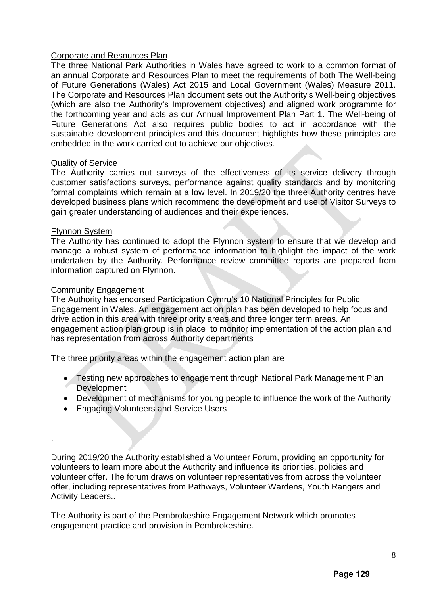#### Corporate and Resources Plan

The three National Park Authorities in Wales have agreed to work to a common format of an annual Corporate and Resources Plan to meet the requirements of both The Well-being of Future Generations (Wales) Act 2015 and Local Government (Wales) Measure 2011. The Corporate and Resources Plan document sets out the Authority's Well-being objectives (which are also the Authority's Improvement objectives) and aligned work programme for the forthcoming year and acts as our Annual Improvement Plan Part 1. The Well-being of Future Generations Act also requires public bodies to act in accordance with the sustainable development principles and this document highlights how these principles are embedded in the work carried out to achieve our objectives.

#### Quality of Service

The Authority carries out surveys of the effectiveness of its service delivery through customer satisfactions surveys, performance against quality standards and by monitoring formal complaints which remain at a low level. In 2019/20 the three Authority centres have developed business plans which recommend the development and use of Visitor Surveys to gain greater understanding of audiences and their experiences.

#### Ffynnon System

.

The Authority has continued to adopt the Ffynnon system to ensure that we develop and manage a robust system of performance information to highlight the impact of the work undertaken by the Authority. Performance review committee reports are prepared from information captured on Ffynnon.

#### Community Engagement

The Authority has endorsed Participation Cymru's 10 National Principles for Public Engagement in Wales. An engagement action plan has been developed to help focus and drive action in this area with three priority areas and three longer term areas. An engagement action plan group is in place to monitor implementation of the action plan and has representation from across Authority departments

The three priority areas within the engagement action plan are

- Testing new approaches to engagement through National Park Management Plan **Development**
- Development of mechanisms for young people to influence the work of the Authority
- Engaging Volunteers and Service Users

During 2019/20 the Authority established a Volunteer Forum, providing an opportunity for volunteers to learn more about the Authority and influence its priorities, policies and volunteer offer. The forum draws on volunteer representatives from across the volunteer offer, including representatives from Pathways, Volunteer Wardens, Youth Rangers and Activity Leaders..

The Authority is part of the Pembrokeshire Engagement Network which promotes engagement practice and provision in Pembrokeshire.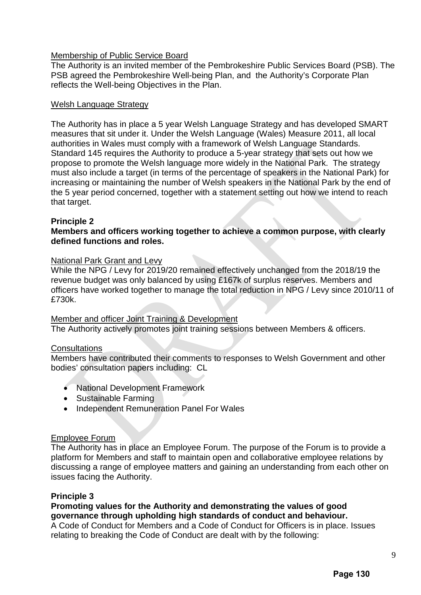## Membership of Public Service Board

The Authority is an invited member of the Pembrokeshire Public Services Board (PSB). The PSB agreed the Pembrokeshire Well-being Plan, and the Authority's Corporate Plan reflects the Well-being Objectives in the Plan.

#### Welsh Language Strategy

The Authority has in place a 5 year Welsh Language Strategy and has developed SMART measures that sit under it. Under the Welsh Language (Wales) Measure 2011, all local authorities in Wales must comply with a framework of Welsh Language Standards. Standard 145 requires the Authority to produce a 5-year strategy that sets out how we propose to promote the Welsh language more widely in the National Park. The strategy must also include a target (in terms of the percentage of speakers in the National Park) for increasing or maintaining the number of Welsh speakers in the National Park by the end of the 5 year period concerned, together with a statement setting out how we intend to reach that target.

## **Principle 2**

## **Members and officers working together to achieve a common purpose, with clearly defined functions and roles.**

#### National Park Grant and Levy

While the NPG / Levy for 2019/20 remained effectively unchanged from the 2018/19 the revenue budget was only balanced by using £167k of surplus reserves. Members and officers have worked together to manage the total reduction in NPG / Levy since 2010/11 of £730k.

#### Member and officer Joint Training & Development

The Authority actively promotes joint training sessions between Members & officers.

#### Consultations

Members have contributed their comments to responses to Welsh Government and other bodies' consultation papers including: CL

- National Development Framework
- Sustainable Farming
- Independent Remuneration Panel For Wales

#### Employee Forum

The Authority has in place an Employee Forum. The purpose of the Forum is to provide a platform for Members and staff to maintain open and collaborative employee relations by discussing a range of employee matters and gaining an understanding from each other on issues facing the Authority.

#### **Principle 3**

## **Promoting values for the Authority and demonstrating the values of good governance through upholding high standards of conduct and behaviour.**

A Code of Conduct for Members and a Code of Conduct for Officers is in place. Issues relating to breaking the Code of Conduct are dealt with by the following: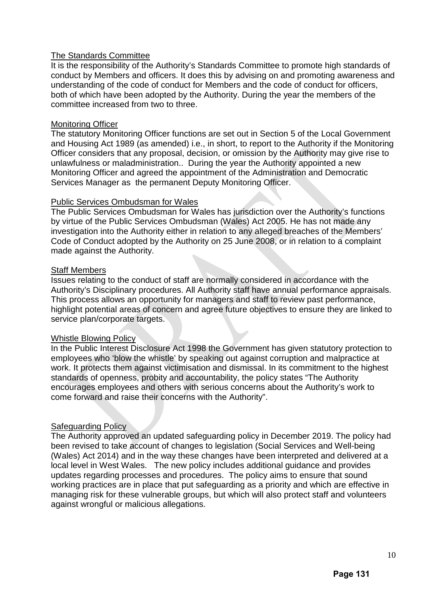### The Standards Committee

It is the responsibility of the Authority's Standards Committee to promote high standards of conduct by Members and officers. It does this by advising on and promoting awareness and understanding of the code of conduct for Members and the code of conduct for officers, both of which have been adopted by the Authority. During the year the members of the committee increased from two to three.

#### Monitoring Officer

The statutory Monitoring Officer functions are set out in Section 5 of the Local Government and Housing Act 1989 (as amended) i.e., in short, to report to the Authority if the Monitoring Officer considers that any proposal, decision, or omission by the Authority may give rise to unlawfulness or maladministration.. During the year the Authority appointed a new Monitoring Officer and agreed the appointment of the Administration and Democratic Services Manager as the permanent Deputy Monitoring Officer.

#### Public Services Ombudsman for Wales

The Public Services Ombudsman for Wales has jurisdiction over the Authority's functions by virtue of the Public Services Ombudsman (Wales) Act 2005. He has not made any investigation into the Authority either in relation to any alleged breaches of the Members' Code of Conduct adopted by the Authority on 25 June 2008, or in relation to a complaint made against the Authority.

#### Staff Members

Issues relating to the conduct of staff are normally considered in accordance with the Authority's Disciplinary procedures. All Authority staff have annual performance appraisals. This process allows an opportunity for managers and staff to review past performance, highlight potential areas of concern and agree future objectives to ensure they are linked to service plan/corporate targets.

#### Whistle Blowing Policy

In the Public Interest Disclosure Act 1998 the Government has given statutory protection to employees who 'blow the whistle' by speaking out against corruption and malpractice at work. It protects them against victimisation and dismissal. In its commitment to the highest standards of openness, probity and accountability, the policy states "The Authority encourages employees and others with serious concerns about the Authority's work to come forward and raise their concerns with the Authority".

#### **Safeguarding Policy**

The Authority approved an updated safeguarding policy in December 2019. The policy had been revised to take account of changes to legislation (Social Services and Well-being (Wales) Act 2014) and in the way these changes have been interpreted and delivered at a local level in West Wales. The new policy includes additional guidance and provides updates regarding processes and procedures. The policy aims to ensure that sound working practices are in place that put safeguarding as a priority and which are effective in managing risk for these vulnerable groups, but which will also protect staff and volunteers against wrongful or malicious allegations.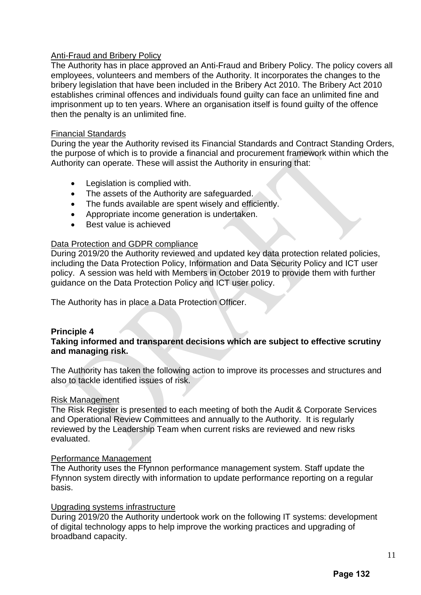## Anti-Fraud and Bribery Policy

The Authority has in place approved an Anti-Fraud and Bribery Policy. The policy covers all employees, volunteers and members of the Authority. It incorporates the changes to the bribery legislation that have been included in the Bribery Act 2010. The Bribery Act 2010 establishes criminal offences and individuals found guilty can face an unlimited fine and imprisonment up to ten years. Where an organisation itself is found guilty of the offence then the penalty is an unlimited fine.

#### Financial Standards

During the year the Authority revised its Financial Standards and Contract Standing Orders, the purpose of which is to provide a financial and procurement framework within which the Authority can operate. These will assist the Authority in ensuring that:

- Legislation is complied with.
- The assets of the Authority are safeguarded.
- The funds available are spent wisely and efficiently.
- Appropriate income generation is undertaken.
- Best value is achieved

## Data Protection and GDPR compliance

During 2019/20 the Authority reviewed and updated key data protection related policies, including the Data Protection Policy, Information and Data Security Policy and ICT user policy. A session was held with Members in October 2019 to provide them with further guidance on the Data Protection Policy and ICT user policy.

The Authority has in place a Data Protection Officer.

#### **Principle 4**

## **Taking informed and transparent decisions which are subject to effective scrutiny and managing risk.**

The Authority has taken the following action to improve its processes and structures and also to tackle identified issues of risk.

#### Risk Management

The Risk Register is presented to each meeting of both the Audit & Corporate Services and Operational Review Committees and annually to the Authority. It is regularly reviewed by the Leadership Team when current risks are reviewed and new risks evaluated.

#### Performance Management

The Authority uses the Ffynnon performance management system. Staff update the Ffynnon system directly with information to update performance reporting on a regular basis.

#### Upgrading systems infrastructure

During 2019/20 the Authority undertook work on the following IT systems: development of digital technology apps to help improve the working practices and upgrading of broadband capacity.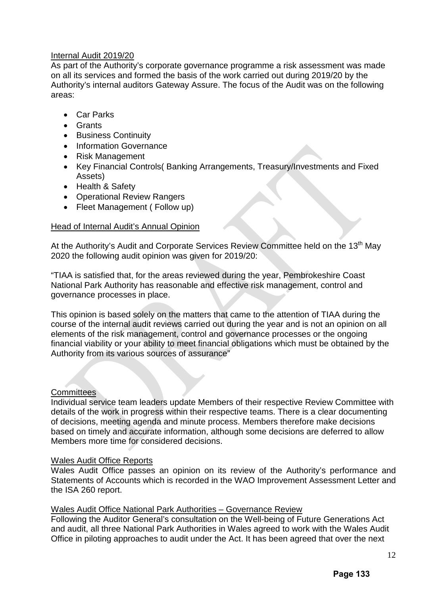## Internal Audit 2019/20

As part of the Authority's corporate governance programme a risk assessment was made on all its services and formed the basis of the work carried out during 2019/20 by the Authority's internal auditors Gateway Assure. The focus of the Audit was on the following areas:

- Car Parks
- Grants
- Business Continuity
- Information Governance
- Risk Management
- Key Financial Controls( Banking Arrangements, Treasury/Investments and Fixed Assets)
- Health & Safety
- Operational Review Rangers
- Fleet Management (Follow up)

## Head of Internal Audit's Annual Opinion

At the Authority's Audit and Corporate Services Review Committee held on the 13<sup>th</sup> Mav 2020 the following audit opinion was given for 2019/20:

"TIAA is satisfied that, for the areas reviewed during the year, Pembrokeshire Coast National Park Authority has reasonable and effective risk management, control and governance processes in place.

This opinion is based solely on the matters that came to the attention of TIAA during the course of the internal audit reviews carried out during the year and is not an opinion on all elements of the risk management, control and governance processes or the ongoing financial viability or your ability to meet financial obligations which must be obtained by the Authority from its various sources of assurance"

## **Committees**

Individual service team leaders update Members of their respective Review Committee with details of the work in progress within their respective teams. There is a clear documenting of decisions, meeting agenda and minute process. Members therefore make decisions based on timely and accurate information, although some decisions are deferred to allow Members more time for considered decisions.

#### Wales Audit Office Reports

Wales Audit Office passes an opinion on its review of the Authority's performance and Statements of Accounts which is recorded in the WAO Improvement Assessment Letter and the ISA 260 report.

#### Wales Audit Office National Park Authorities – Governance Review

Following the Auditor General's consultation on the Well-being of Future Generations Act and audit, all three National Park Authorities in Wales agreed to work with the Wales Audit Office in piloting approaches to audit under the Act. It has been agreed that over the next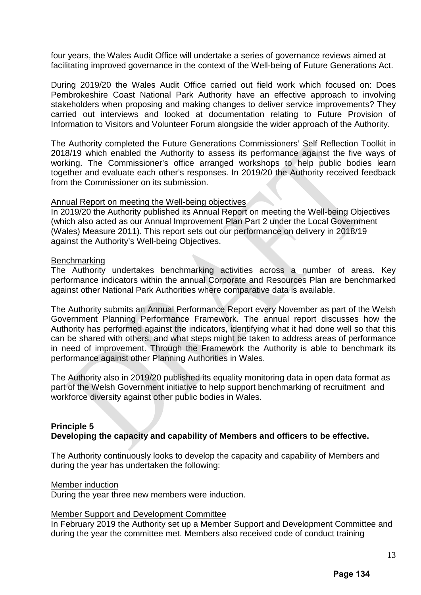four years, the Wales Audit Office will undertake a series of governance reviews aimed at facilitating improved governance in the context of the Well-being of Future Generations Act.

During 2019/20 the Wales Audit Office carried out field work which focused on: Does Pembrokeshire Coast National Park Authority have an effective approach to involving stakeholders when proposing and making changes to deliver service improvements? They carried out interviews and looked at documentation relating to Future Provision of Information to Visitors and Volunteer Forum alongside the wider approach of the Authority.

The Authority completed the Future Generations Commissioners' Self Reflection Toolkit in 2018/19 which enabled the Authority to assess its performance against the five ways of working. The Commissioner's office arranged workshops to help public bodies learn together and evaluate each other's responses. In 2019/20 the Authority received feedback from the Commissioner on its submission.

#### Annual Report on meeting the Well-being objectives

In 2019/20 the Authority published its Annual Report on meeting the Well-being Objectives (which also acted as our Annual Improvement Plan Part 2 under the Local Government (Wales) Measure 2011). This report sets out our performance on delivery in 2018/19 against the Authority's Well-being Objectives.

#### **Benchmarking**

The Authority undertakes benchmarking activities across a number of areas. Key performance indicators within the annual Corporate and Resources Plan are benchmarked against other National Park Authorities where comparative data is available.

The Authority submits an Annual Performance Report every November as part of the Welsh Government Planning Performance Framework. The annual report discusses how the Authority has performed against the indicators, identifying what it had done well so that this can be shared with others, and what steps might be taken to address areas of performance in need of improvement. Through the Framework the Authority is able to benchmark its performance against other Planning Authorities in Wales.

The Authority also in 2019/20 published its equality monitoring data in open data format as part of the Welsh Government initiative to help support benchmarking of recruitment and workforce diversity against other public bodies in Wales.

## **Principle 5**

#### **Developing the capacity and capability of Members and officers to be effective.**

The Authority continuously looks to develop the capacity and capability of Members and during the year has undertaken the following:

#### Member induction

During the year three new members were induction.

#### Member Support and Development Committee

In February 2019 the Authority set up a Member Support and Development Committee and during the year the committee met. Members also received code of conduct training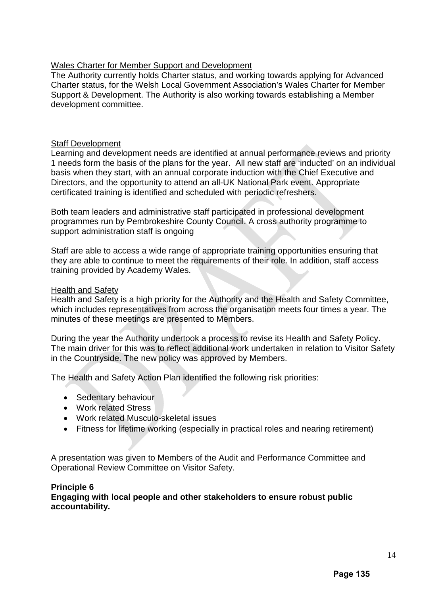## Wales Charter for Member Support and Development

The Authority currently holds Charter status, and working towards applying for Advanced Charter status, for the Welsh Local Government Association's Wales Charter for Member Support & Development. The Authority is also working towards establishing a Member development committee.

#### Staff Development

Learning and development needs are identified at annual performance reviews and priority 1 needs form the basis of the plans for the year. All new staff are 'inducted' on an individual basis when they start, with an annual corporate induction with the Chief Executive and Directors, and the opportunity to attend an all-UK National Park event. Appropriate certificated training is identified and scheduled with periodic refreshers.

Both team leaders and administrative staff participated in professional development programmes run by Pembrokeshire County Council. A cross authority programme to support administration staff is ongoing

Staff are able to access a wide range of appropriate training opportunities ensuring that they are able to continue to meet the requirements of their role. In addition, staff access training provided by Academy Wales.

#### Health and Safety

Health and Safety is a high priority for the Authority and the Health and Safety Committee, which includes representatives from across the organisation meets four times a year. The minutes of these meetings are presented to Members.

During the year the Authority undertook a process to revise its Health and Safety Policy. The main driver for this was to reflect additional work undertaken in relation to Visitor Safety in the Countryside. The new policy was approved by Members.

The Health and Safety Action Plan identified the following risk priorities:

- Sedentary behaviour
- Work related Stress
- Work related Musculo-skeletal issues
- Fitness for lifetime working (especially in practical roles and nearing retirement)

A presentation was given to Members of the Audit and Performance Committee and Operational Review Committee on Visitor Safety.

#### **Principle 6**

**Engaging with local people and other stakeholders to ensure robust public accountability.**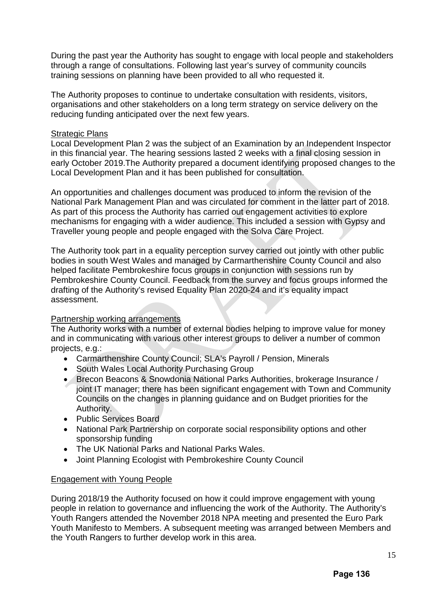During the past year the Authority has sought to engage with local people and stakeholders through a range of consultations. Following last year's survey of community councils training sessions on planning have been provided to all who requested it.

The Authority proposes to continue to undertake consultation with residents, visitors, organisations and other stakeholders on a long term strategy on service delivery on the reducing funding anticipated over the next few years.

#### Strategic Plans

Local Development Plan 2 was the subject of an Examination by an Independent Inspector in this financial year. The hearing sessions lasted 2 weeks with a final closing session in early October 2019.The Authority prepared a document identifying proposed changes to the Local Development Plan and it has been published for consultation.

An opportunities and challenges document was produced to inform the revision of the National Park Management Plan and was circulated for comment in the latter part of 2018. As part of this process the Authority has carried out engagement activities to explore mechanisms for engaging with a wider audience. This included a session with Gypsy and Traveller young people and people engaged with the Solva Care Project.

The Authority took part in a equality perception survey carried out jointly with other public bodies in south West Wales and managed by Carmarthenshire County Council and also helped facilitate Pembrokeshire focus groups in conjunction with sessions run by Pembrokeshire County Council. Feedback from the survey and focus groups informed the drafting of the Authority's revised Equality Plan 2020-24 and it's equality impact assessment.

#### Partnership working arrangements

The Authority works with a number of external bodies helping to improve value for money and in communicating with various other interest groups to deliver a number of common projects, e.g.:

- Carmarthenshire County Council; SLA's Payroll / Pension, Minerals
- South Wales Local Authority Purchasing Group
- Brecon Beacons & Snowdonia National Parks Authorities, brokerage Insurance / joint IT manager; there has been significant engagement with Town and Community Councils on the changes in planning guidance and on Budget priorities for the Authority.
- Public Services Board
- National Park Partnership on corporate social responsibility options and other sponsorship funding
- The UK National Parks and National Parks Wales.
- Joint Planning Ecologist with Pembrokeshire County Council

#### Engagement with Young People

During 2018/19 the Authority focused on how it could improve engagement with young people in relation to governance and influencing the work of the Authority. The Authority's Youth Rangers attended the November 2018 NPA meeting and presented the Euro Park Youth Manifesto to Members. A subsequent meeting was arranged between Members and the Youth Rangers to further develop work in this area.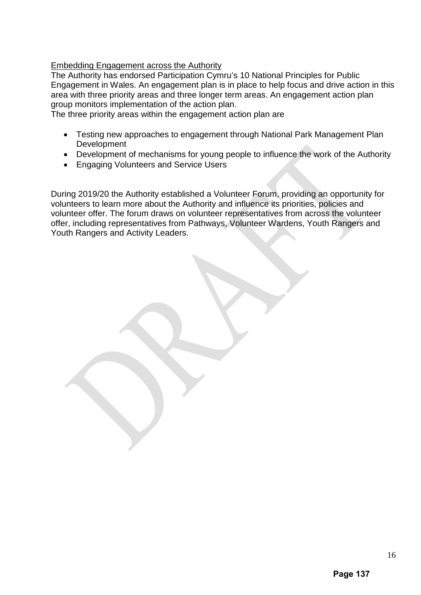## Embedding Engagement across the Authority

The Authority has endorsed Participation Cymru's 10 National Principles for Public Engagement in Wales. An engagement plan is in place to help focus and drive action in this area with three priority areas and three longer term areas. An engagement action plan group monitors implementation of the action plan.

The three priority areas within the engagement action plan are

- Testing new approaches to engagement through National Park Management Plan Development
- Development of mechanisms for young people to influence the work of the Authority
- Engaging Volunteers and Service Users

During 2019/20 the Authority established a Volunteer Forum, providing an opportunity for volunteers to learn more about the Authority and influence its priorities, policies and volunteer offer. The forum draws on volunteer representatives from across the volunteer offer, including representatives from Pathways, Volunteer Wardens, Youth Rangers and Youth Rangers and Activity Leaders.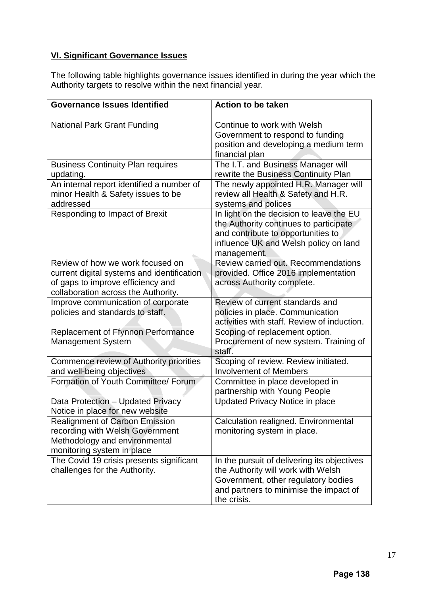# **VI. Significant Governance Issues**

The following table highlights governance issues identified in during the year which the Authority targets to resolve within the next financial year.

| <b>Governance Issues Identified</b>                                                                                                                        | <b>Action to be taken</b>                                                                                                                                                         |  |
|------------------------------------------------------------------------------------------------------------------------------------------------------------|-----------------------------------------------------------------------------------------------------------------------------------------------------------------------------------|--|
|                                                                                                                                                            |                                                                                                                                                                                   |  |
| <b>National Park Grant Funding</b>                                                                                                                         | Continue to work with Welsh<br>Government to respond to funding<br>position and developing a medium term<br>financial plan                                                        |  |
| <b>Business Continuity Plan requires</b><br>updating.                                                                                                      | The I.T. and Business Manager will<br>rewrite the Business Continuity Plan                                                                                                        |  |
| An internal report identified a number of<br>minor Health & Safety issues to be<br>addressed                                                               | The newly appointed H.R. Manager will<br>review all Health & Safety and H.R.<br>systems and polices                                                                               |  |
| Responding to Impact of Brexit                                                                                                                             | In light on the decision to leave the EU<br>the Authority continues to participate<br>and contribute to opportunities to<br>influence UK and Welsh policy on land<br>management.  |  |
| Review of how we work focused on<br>current digital systems and identification<br>of gaps to improve efficiency and<br>collaboration across the Authority. | Review carried out. Recommendations<br>provided. Office 2016 implementation<br>across Authority complete.                                                                         |  |
| Improve communication of corporate<br>policies and standards to staff.                                                                                     | Review of current standards and<br>policies in place. Communication<br>activities with staff. Review of induction.                                                                |  |
| Replacement of Ffynnon Performance<br><b>Management System</b>                                                                                             | Scoping of replacement option.<br>Procurement of new system. Training of<br>staff.                                                                                                |  |
| Commence review of Authority priorities<br>and well-being objectives                                                                                       | Scoping of review. Review initiated.<br><b>Involvement of Members</b>                                                                                                             |  |
| Formation of Youth Committee/ Forum                                                                                                                        | Committee in place developed in<br>partnership with Young People                                                                                                                  |  |
| Data Protection - Updated Privacy<br>Notice in place for new website                                                                                       | Updated Privacy Notice in place                                                                                                                                                   |  |
| <b>Realignment of Carbon Emission</b><br>recording with Welsh Government<br>Methodology and environmental<br>monitoring system in place                    | Calculation realigned. Environmental<br>monitoring system in place.                                                                                                               |  |
| The Covid 19 crisis presents significant<br>challenges for the Authority.                                                                                  | In the pursuit of delivering its objectives<br>the Authority will work with Welsh<br>Government, other regulatory bodies<br>and partners to minimise the impact of<br>the crisis. |  |